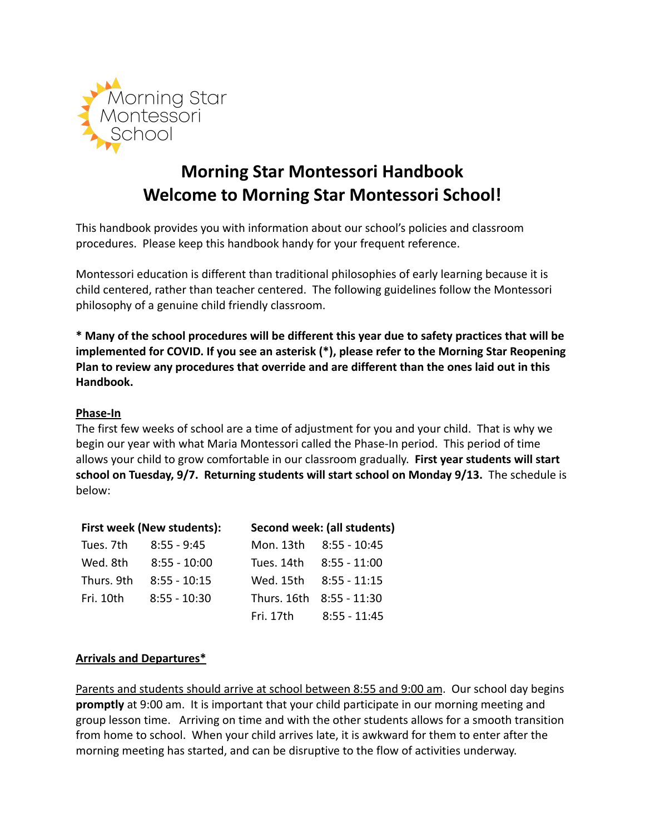

# **Morning Star Montessori Handbook Welcome to Morning Star Montessori School!**

This handbook provides you with information about our school's policies and classroom procedures. Please keep this handbook handy for your frequent reference.

Montessori education is different than traditional philosophies of early learning because it is child centered, rather than teacher centered. The following guidelines follow the Montessori philosophy of a genuine child friendly classroom.

**\* Many of the school procedures will be different this year due to safety practices that will be implemented for COVID. If you see an asterisk (\*), please refer to the Morning Star Reopening Plan to review any procedures that override and are different than the ones laid out in this Handbook.**

# **Phase-In**

The first few weeks of school are a time of adjustment for you and your child. That is why we begin our year with what Maria Montessori called the Phase-In period. This period of time allows your child to grow comfortable in our classroom gradually. **First year students will start school on Tuesday, 9/7. Returning students will start school on Monday 9/13.** The schedule is below:

| First week (New students): |                | Second week: (all students) |                          |
|----------------------------|----------------|-----------------------------|--------------------------|
| Tues. 7th                  | 8:55 - 9:45    |                             | Mon. 13th 8:55 - 10:45   |
| Wed. 8th                   | $8:55 - 10:00$ |                             | Tues. 14th 8:55 - 11:00  |
| Thurs. 9th                 | $8:55 - 10:15$ |                             | Wed. 15th 8:55 - 11:15   |
| Fri. 10th                  | $8:55 - 10:30$ |                             | Thurs. 16th 8:55 - 11:30 |
|                            |                |                             | Fri. 17th 8:55 - 11:45   |

# **Arrivals and Departures\***

Parents and students should arrive at school between 8:55 and 9:00 am. Our school day begins **promptly** at 9:00 am. It is important that your child participate in our morning meeting and group lesson time. Arriving on time and with the other students allows for a smooth transition from home to school. When your child arrives late, it is awkward for them to enter after the morning meeting has started, and can be disruptive to the flow of activities underway.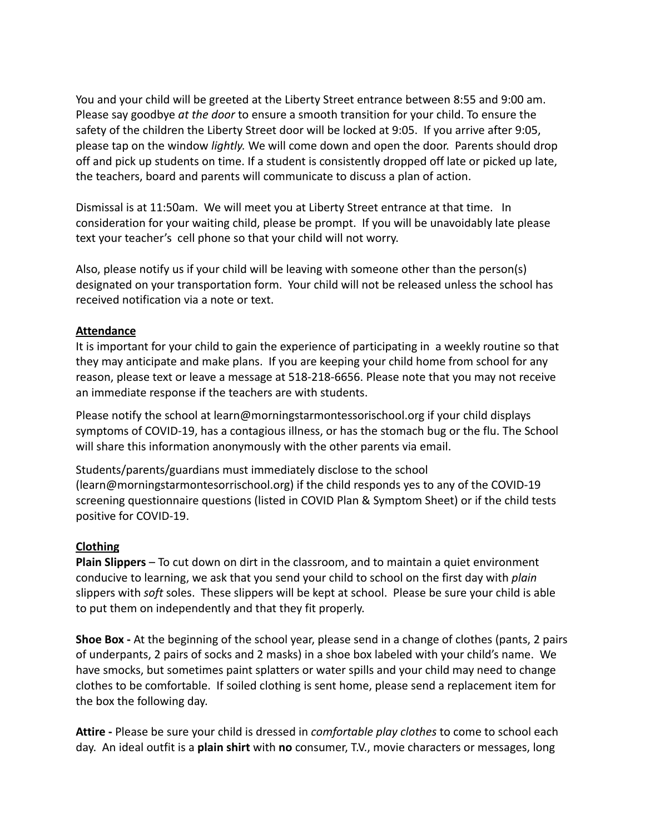You and your child will be greeted at the Liberty Street entrance between 8:55 and 9:00 am. Please say goodbye *at the door* to ensure a smooth transition for your child. To ensure the safety of the children the Liberty Street door will be locked at 9:05. If you arrive after 9:05, please tap on the window *lightly.* We will come down and open the door. Parents should drop off and pick up students on time. If a student is consistently dropped off late or picked up late, the teachers, board and parents will communicate to discuss a plan of action.

Dismissal is at 11:50am. We will meet you at Liberty Street entrance at that time. In consideration for your waiting child, please be prompt. If you will be unavoidably late please text your teacher's cell phone so that your child will not worry.

Also, please notify us if your child will be leaving with someone other than the person(s) designated on your transportation form. Your child will not be released unless the school has received notification via a note or text.

## **Attendance**

It is important for your child to gain the experience of participating in a weekly routine so that they may anticipate and make plans. If you are keeping your child home from school for any reason, please text or leave a message at 518-218-6656. Please note that you may not receive an immediate response if the teachers are with students.

Please notify the school at learn@morningstarmontessorischool.org if your child displays symptoms of COVID-19, has a contagious illness, or has the stomach bug or the flu. The School will share this information anonymously with the other parents via email.

Students/parents/guardians must immediately disclose to the school (learn@morningstarmontesorrischool.org) if the child responds yes to any of the COVID-19 screening questionnaire questions (listed in COVID Plan & Symptom Sheet) or if the child tests positive for COVID-19.

#### **Clothing**

**Plain Slippers** – To cut down on dirt in the classroom, and to maintain a quiet environment conducive to learning, we ask that you send your child to school on the first day with *plain* slippers with *soft* soles. These slippers will be kept at school. Please be sure your child is able to put them on independently and that they fit properly.

**Shoe Box -** At the beginning of the school year, please send in a change of clothes (pants, 2 pairs of underpants, 2 pairs of socks and 2 masks) in a shoe box labeled with your child's name. We have smocks, but sometimes paint splatters or water spills and your child may need to change clothes to be comfortable. If soiled clothing is sent home, please send a replacement item for the box the following day.

**Attire -** Please be sure your child is dressed in *comfortable play clothes* to come to school each day. An ideal outfit is a **plain shirt** with **no** consumer, T.V., movie characters or messages, long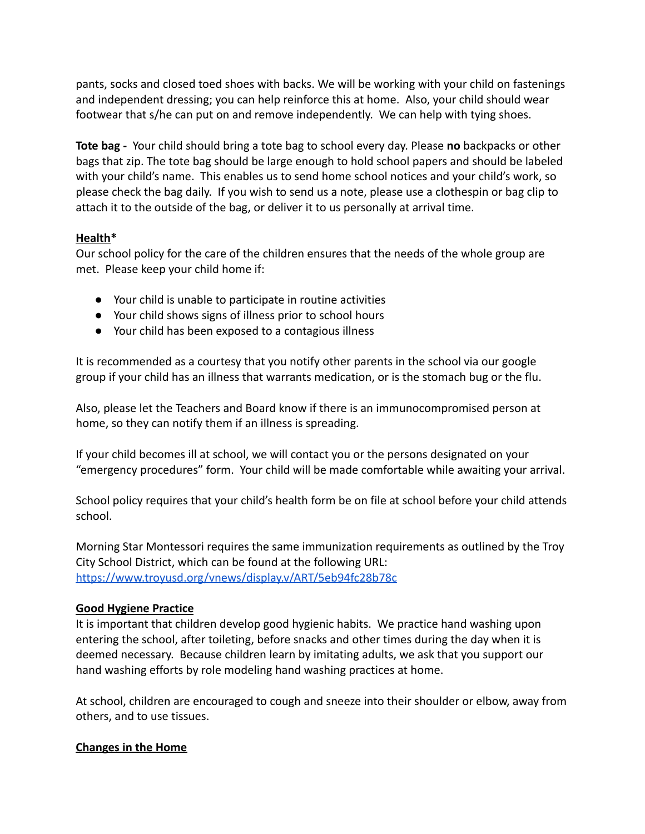pants, socks and closed toed shoes with backs. We will be working with your child on fastenings and independent dressing; you can help reinforce this at home. Also, your child should wear footwear that s/he can put on and remove independently. We can help with tying shoes.

**Tote bag -** Your child should bring a tote bag to school every day. Please **no** backpacks or other bags that zip. The tote bag should be large enough to hold school papers and should be labeled with your child's name. This enables us to send home school notices and your child's work, so please check the bag daily. If you wish to send us a note, please use a clothespin or bag clip to attach it to the outside of the bag, or deliver it to us personally at arrival time.

## **Health\***

Our school policy for the care of the children ensures that the needs of the whole group are met. Please keep your child home if:

- Your child is unable to participate in routine activities
- Your child shows signs of illness prior to school hours
- Your child has been exposed to a contagious illness

It is recommended as a courtesy that you notify other parents in the school via our google group if your child has an illness that warrants medication, or is the stomach bug or the flu.

Also, please let the Teachers and Board know if there is an immunocompromised person at home, so they can notify them if an illness is spreading.

If your child becomes ill at school, we will contact you or the persons designated on your "emergency procedures" form. Your child will be made comfortable while awaiting your arrival.

School policy requires that your child's health form be on file at school before your child attends school.

Morning Star Montessori requires the same immunization requirements as outlined by the Troy City School District, which can be found at the following URL: <https://www.troyusd.org/vnews/display.v/ART/5eb94fc28b78c>

# **Good Hygiene Practice**

It is important that children develop good hygienic habits. We practice hand washing upon entering the school, after toileting, before snacks and other times during the day when it is deemed necessary. Because children learn by imitating adults, we ask that you support our hand washing efforts by role modeling hand washing practices at home.

At school, children are encouraged to cough and sneeze into their shoulder or elbow, away from others, and to use tissues.

# **Changes in the Home**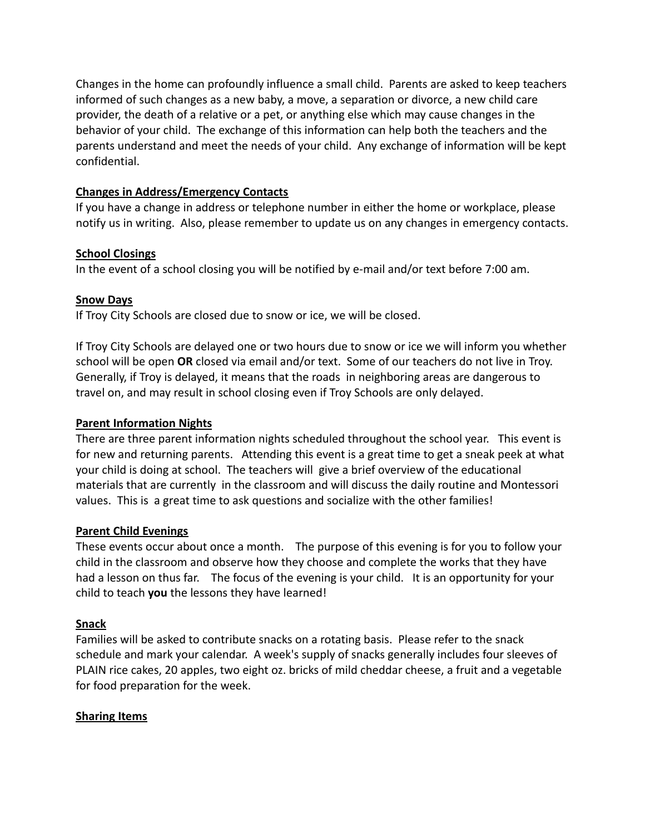Changes in the home can profoundly influence a small child. Parents are asked to keep teachers informed of such changes as a new baby, a move, a separation or divorce, a new child care provider, the death of a relative or a pet, or anything else which may cause changes in the behavior of your child. The exchange of this information can help both the teachers and the parents understand and meet the needs of your child. Any exchange of information will be kept confidential.

## **Changes in Address/Emergency Contacts**

If you have a change in address or telephone number in either the home or workplace, please notify us in writing. Also, please remember to update us on any changes in emergency contacts.

## **School Closings**

In the event of a school closing you will be notified by e-mail and/or text before 7:00 am.

## **Snow Days**

If Troy City Schools are closed due to snow or ice, we will be closed.

If Troy City Schools are delayed one or two hours due to snow or ice we will inform you whether school will be open **OR** closed via email and/or text. Some of our teachers do not live in Troy. Generally, if Troy is delayed, it means that the roads in neighboring areas are dangerous to travel on, and may result in school closing even if Troy Schools are only delayed.

## **Parent Information Nights**

There are three parent information nights scheduled throughout the school year. This event is for new and returning parents. Attending this event is a great time to get a sneak peek at what your child is doing at school. The teachers will give a brief overview of the educational materials that are currently in the classroom and will discuss the daily routine and Montessori values. This is a great time to ask questions and socialize with the other families!

#### **Parent Child Evenings**

These events occur about once a month. The purpose of this evening is for you to follow your child in the classroom and observe how they choose and complete the works that they have had a lesson on thus far. The focus of the evening is your child. It is an opportunity for your child to teach **you** the lessons they have learned!

# **Snack**

Families will be asked to contribute snacks on a rotating basis. Please refer to the snack schedule and mark your calendar. A week's supply of snacks generally includes four sleeves of PLAIN rice cakes, 20 apples, two eight oz. bricks of mild cheddar cheese, a fruit and a vegetable for food preparation for the week.

#### **Sharing Items**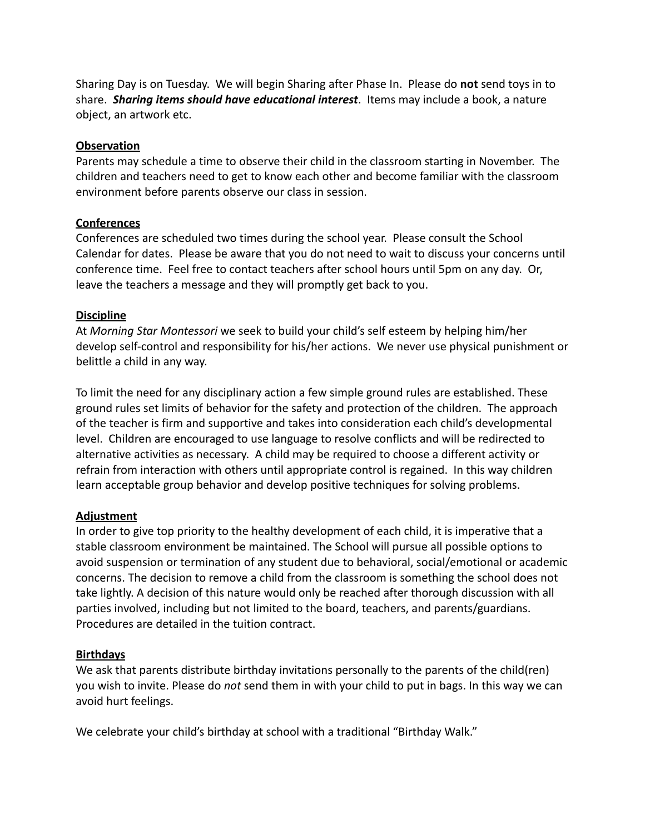Sharing Day is on Tuesday. We will begin Sharing after Phase In. Please do **not** send toys in to share. *Sharing items should have educational interest*. Items may include a book, a nature object, an artwork etc.

#### **Observation**

Parents may schedule a time to observe their child in the classroom starting in November. The children and teachers need to get to know each other and become familiar with the classroom environment before parents observe our class in session.

# **Conferences**

Conferences are scheduled two times during the school year. Please consult the School Calendar for dates. Please be aware that you do not need to wait to discuss your concerns until conference time. Feel free to contact teachers after school hours until 5pm on any day. Or, leave the teachers a message and they will promptly get back to you.

## **Discipline**

At *Morning Star Montessori* we seek to build your child's self esteem by helping him/her develop self-control and responsibility for his/her actions. We never use physical punishment or belittle a child in any way.

To limit the need for any disciplinary action a few simple ground rules are established. These ground rules set limits of behavior for the safety and protection of the children. The approach of the teacher is firm and supportive and takes into consideration each child's developmental level. Children are encouraged to use language to resolve conflicts and will be redirected to alternative activities as necessary. A child may be required to choose a different activity or refrain from interaction with others until appropriate control is regained. In this way children learn acceptable group behavior and develop positive techniques for solving problems.

# **Adjustment**

In order to give top priority to the healthy development of each child, it is imperative that a stable classroom environment be maintained. The School will pursue all possible options to avoid suspension or termination of any student due to behavioral, social/emotional or academic concerns. The decision to remove a child from the classroom is something the school does not take lightly. A decision of this nature would only be reached after thorough discussion with all parties involved, including but not limited to the board, teachers, and parents/guardians. Procedures are detailed in the tuition contract.

# **Birthdays**

We ask that parents distribute birthday invitations personally to the parents of the child(ren) you wish to invite. Please do *not* send them in with your child to put in bags. In this way we can avoid hurt feelings.

We celebrate your child's birthday at school with a traditional "Birthday Walk."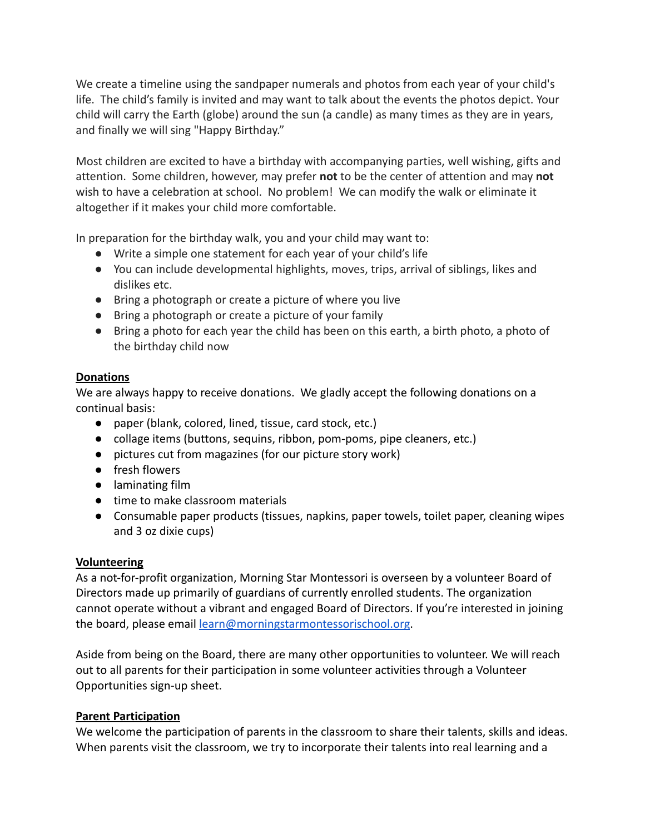We create a timeline using the sandpaper numerals and photos from each year of your child's life. The child's family is invited and may want to talk about the events the photos depict. Your child will carry the Earth (globe) around the sun (a candle) as many times as they are in years, and finally we will sing "Happy Birthday."

Most children are excited to have a birthday with accompanying parties, well wishing, gifts and attention. Some children, however, may prefer **not** to be the center of attention and may **not** wish to have a celebration at school. No problem! We can modify the walk or eliminate it altogether if it makes your child more comfortable.

In preparation for the birthday walk, you and your child may want to:

- Write a simple one statement for each year of your child's life
- You can include developmental highlights, moves, trips, arrival of siblings, likes and dislikes etc.
- Bring a photograph or create a picture of where you live
- Bring a photograph or create a picture of your family
- Bring a photo for each year the child has been on this earth, a birth photo, a photo of the birthday child now

#### **Donations**

We are always happy to receive donations. We gladly accept the following donations on a continual basis:

- paper (blank, colored, lined, tissue, card stock, etc.)
- collage items (buttons, sequins, ribbon, pom-poms, pipe cleaners, etc.)
- pictures cut from magazines (for our picture story work)
- fresh flowers
- laminating film
- time to make classroom materials
- Consumable paper products (tissues, napkins, paper towels, toilet paper, cleaning wipes and 3 oz dixie cups)

#### **Volunteering**

As a not-for-profit organization, Morning Star Montessori is overseen by a volunteer Board of Directors made up primarily of guardians of currently enrolled students. The organization cannot operate without a vibrant and engaged Board of Directors. If you're interested in joining the board, please email [learn@morningstarmontessorischool.org](mailto:learn@morningstarmontessorischool.org).

Aside from being on the Board, there are many other opportunities to volunteer. We will reach out to all parents for their participation in some volunteer activities through a Volunteer Opportunities sign-up sheet.

#### **Parent Participation**

We welcome the participation of parents in the classroom to share their talents, skills and ideas. When parents visit the classroom, we try to incorporate their talents into real learning and a